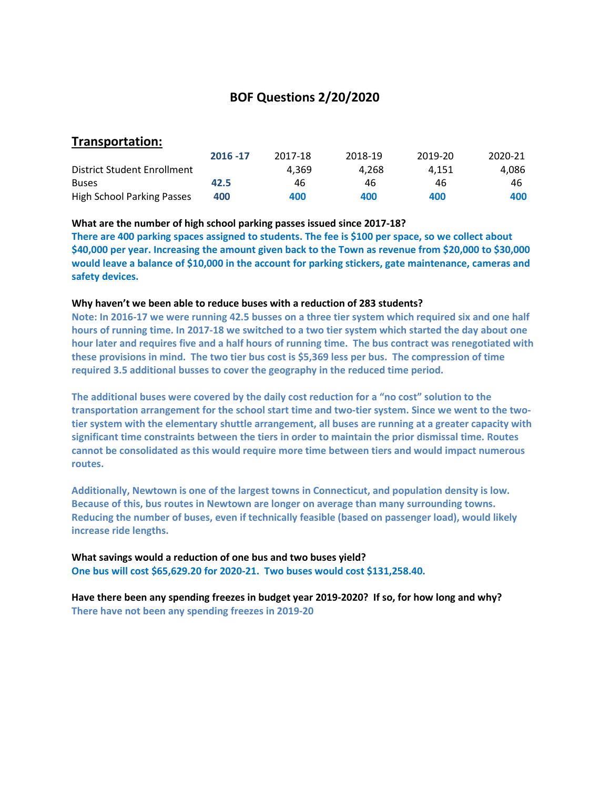## **BOF Questions 2/20/2020**

## **Transportation:**

|                             | 2016 - 17 | 2017-18 | 2018-19 | 2019-20 | 2020-21 |
|-----------------------------|-----------|---------|---------|---------|---------|
| District Student Enrollment |           | 4.369   | 4.268   | 4.151   | 4.086   |
| <b>Buses</b>                | 42.5      | 46      | 46      | 46      | 46      |
| High School Parking Passes  | 400       | 400     | 400     | 400     | 400     |

#### **What are the number of high school parking passes issued since 2017-18?**

**There are 400 parking spaces assigned to students. The fee is \$100 per space, so we collect about \$40,000 per year. Increasing the amount given back to the Town as revenue from \$20,000 to \$30,000 would leave a balance of \$10,000 in the account for parking stickers, gate maintenance, cameras and safety devices.**

#### **Why haven't we been able to reduce buses with a reduction of 283 students?**

**Note: In 2016-17 we were running 42.5 busses on a three tier system which required six and one half hours of running time. In 2017-18 we switched to a two tier system which started the day about one hour later and requires five and a half hours of running time. The bus contract was renegotiated with these provisions in mind. The two tier bus cost is \$5,369 less per bus. The compression of time required 3.5 additional busses to cover the geography in the reduced time period.** 

**The additional buses were covered by the daily cost reduction for a "no cost" solution to the transportation arrangement for the school start time and two-tier system. Since we went to the twotier system with the elementary shuttle arrangement, all buses are running at a greater capacity with significant time constraints between the tiers in order to maintain the prior dismissal time. Routes cannot be consolidated as this would require more time between tiers and would impact numerous routes.**

**Additionally, Newtown is one of the largest towns in Connecticut, and population density is low. Because of this, bus routes in Newtown are longer on average than many surrounding towns. Reducing the number of buses, even if technically feasible (based on passenger load), would likely increase ride lengths.**

**What savings would a reduction of one bus and two buses yield? One bus will cost \$65,629.20 for 2020-21. Two buses would cost \$131,258.40.**

**Have there been any spending freezes in budget year 2019-2020? If so, for how long and why? There have not been any spending freezes in 2019-20**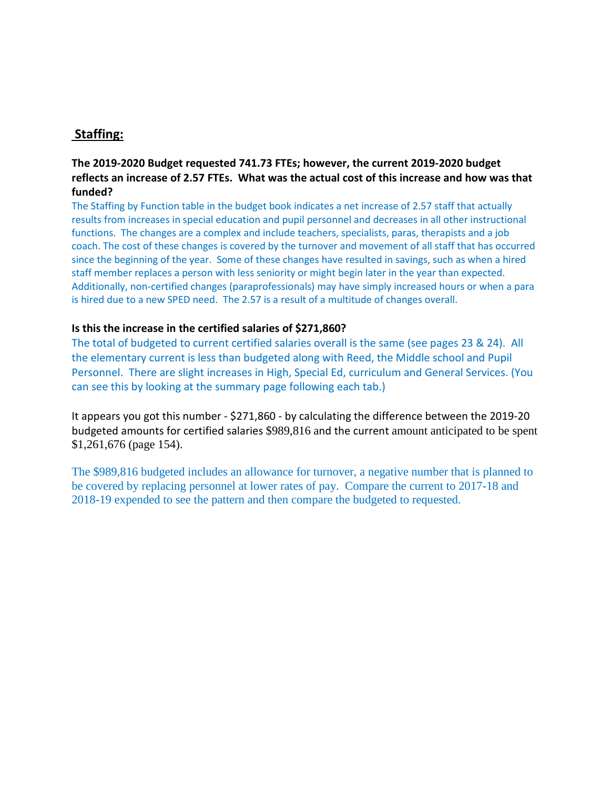# **Staffing:**

## **The 2019-2020 Budget requested 741.73 FTEs; however, the current 2019-2020 budget reflects an increase of 2.57 FTEs. What was the actual cost of this increase and how was that funded?**

The Staffing by Function table in the budget book indicates a net increase of 2.57 staff that actually results from increases in special education and pupil personnel and decreases in all other instructional functions. The changes are a complex and include teachers, specialists, paras, therapists and a job coach. The cost of these changes is covered by the turnover and movement of all staff that has occurred since the beginning of the year. Some of these changes have resulted in savings, such as when a hired staff member replaces a person with less seniority or might begin later in the year than expected. Additionally, non-certified changes (paraprofessionals) may have simply increased hours or when a para is hired due to a new SPED need. The 2.57 is a result of a multitude of changes overall.

### **Is this the increase in the certified salaries of \$271,860?**

The total of budgeted to current certified salaries overall is the same (see pages 23 & 24). All the elementary current is less than budgeted along with Reed, the Middle school and Pupil Personnel. There are slight increases in High, Special Ed, curriculum and General Services. (You can see this by looking at the summary page following each tab.)

It appears you got this number - \$271,860 - by calculating the difference between the 2019-20 budgeted amounts for certified salaries \$989,816 and the current amount anticipated to be spent \$1,261,676 (page 154).

The \$989,816 budgeted includes an allowance for turnover, a negative number that is planned to be covered by replacing personnel at lower rates of pay. Compare the current to 2017-18 and 2018-19 expended to see the pattern and then compare the budgeted to requested.